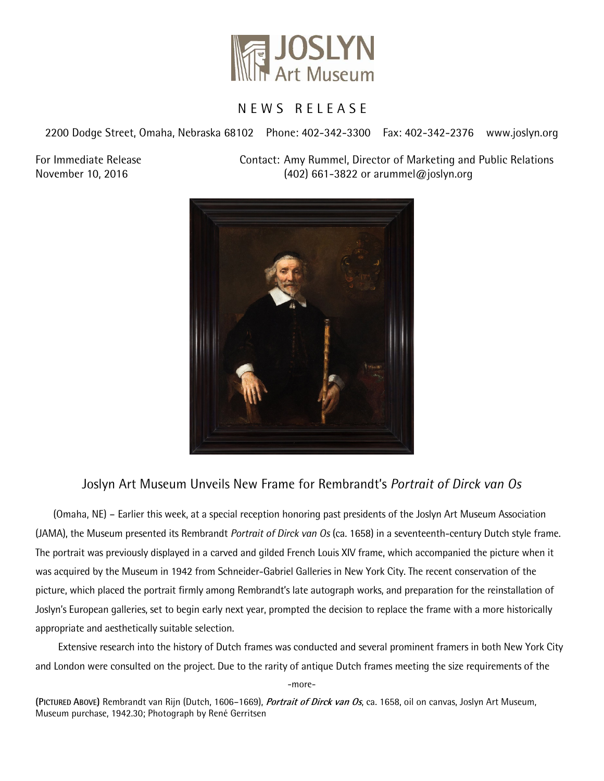

## N E W S R E L E A S E

2200 Dodge Street, Omaha, Nebraska 68102 Phone: 402-342-3300 Fax: 402-342-2376 www.joslyn.org

For Immediate Release Contact: Amy Rummel, Director of Marketing and Public Relations November 10, 2016 (402) 661-3822 or arummel@joslyn.org



# Joslyn Art Museum Unveils New Frame for Rembrandt's *Portrait of Dirck van Os*

(Omaha, NE) – Earlier this week, at a special reception honoring past presidents of the Joslyn Art Museum Association (JAMA), the Museum presented its Rembrandt *Portrait of Dirck van Os* (ca. 1658) in a seventeenth-century Dutch style frame. The portrait was previously displayed in a carved and gilded French Louis XIV frame, which accompanied the picture when it was acquired by the Museum in 1942 from Schneider-Gabriel Galleries in New York City. The recent conservation of the picture, which placed the portrait firmly among Rembrandt's late autograph works, and preparation for the reinstallation of Joslyn's European galleries, set to begin early next year, prompted the decision to replace the frame with a more historically appropriate and aesthetically suitable selection.

Extensive research into the history of Dutch frames was conducted and several prominent framers in both New York City and London were consulted on the project. Due to the rarity of antique Dutch frames meeting the size requirements of the

-more-

**(PICTURED ABOVE)** Rembrandt van Rijn (Dutch, 1606–1669), **Portrait of Dirck van Os**, ca. 1658, oil on canvas, Joslyn Art Museum, Museum purchase, 1942.30; Photograph by René Gerritsen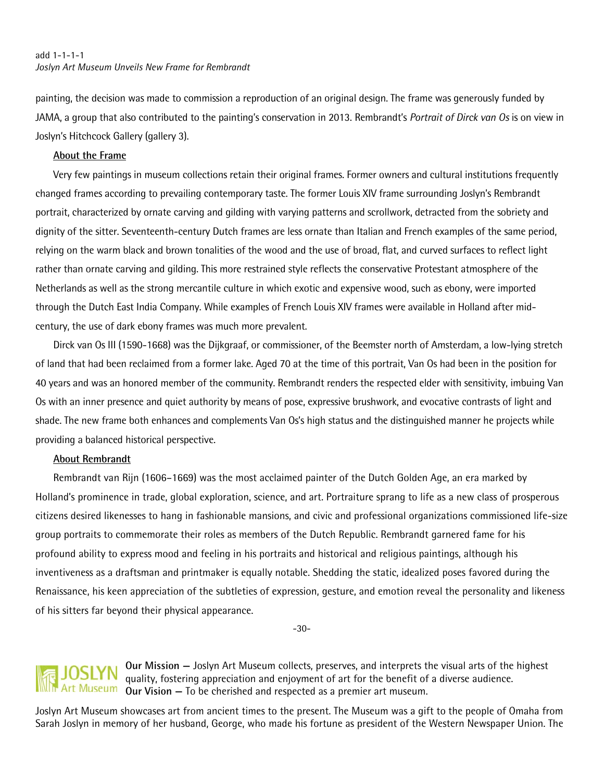#### add 1-1-1-1 *Joslyn Art Museum Unveils New Frame for Rembrandt*

painting, the decision was made to commission a reproduction of an original design. The frame was generously funded by JAMA, a group that also contributed to the painting's conservation in 2013. Rembrandt's *Portrait of Dirck van Os* is on view in Joslyn's Hitchcock Gallery (gallery 3).

#### **About the Frame**

Very few paintings in museum collections retain their original frames. Former owners and cultural institutions frequently changed frames according to prevailing contemporary taste. The former Louis XIV frame surrounding Joslyn's Rembrandt portrait, characterized by ornate carving and gilding with varying patterns and scrollwork, detracted from the sobriety and dignity of the sitter. Seventeenth-century Dutch frames are less ornate than Italian and French examples of the same period, relying on the warm black and brown tonalities of the wood and the use of broad, flat, and curved surfaces to reflect light rather than ornate carving and gilding. This more restrained style reflects the conservative Protestant atmosphere of the Netherlands as well as the strong mercantile culture in which exotic and expensive wood, such as ebony, were imported through the Dutch East India Company. While examples of French Louis XIV frames were available in Holland after midcentury, the use of dark ebony frames was much more prevalent.

Dirck van Os III (1590-1668) was the Dijkgraaf, or commissioner, of the Beemster north of Amsterdam, a low-lying stretch of land that had been reclaimed from a former lake. Aged 70 at the time of this portrait, Van Os had been in the position for 40 years and was an honored member of the community. Rembrandt renders the respected elder with sensitivity, imbuing Van Os with an inner presence and quiet authority by means of pose, expressive brushwork, and evocative contrasts of light and shade. The new frame both enhances and complements Van Os's high status and the distinguished manner he projects while providing a balanced historical perspective.

#### **About Rembrandt**

 Rembrandt van Rijn (1606–1669) was the most acclaimed painter of the Dutch Golden Age, an era marked by Holland's prominence in trade, global exploration, science, and art. Portraiture sprang to life as a new class of prosperous citizens desired likenesses to hang in fashionable mansions, and civic and professional organizations commissioned life-size group portraits to commemorate their roles as members of the Dutch Republic. Rembrandt garnered fame for his profound ability to express mood and feeling in his portraits and historical and religious paintings, although his inventiveness as a draftsman and printmaker is equally notable. Shedding the static, idealized poses favored during the Renaissance, his keen appreciation of the subtleties of expression, gesture, and emotion reveal the personality and likeness of his sitters far beyond their physical appearance.

-30-

### **Our Mission —** Joslyn Art Museum collects, preserves, and interprets the visual arts of the highest quality, fostering appreciation and enjoyment of art for the benefit of a diverse audience. **Our Vision —** To be cherished and respected as a premier art museum.

Joslyn Art Museum showcases art from ancient times to the present. The Museum was a gift to the people of Omaha from Sarah Joslyn in memory of her husband, George, who made his fortune as president of the Western Newspaper Union. The